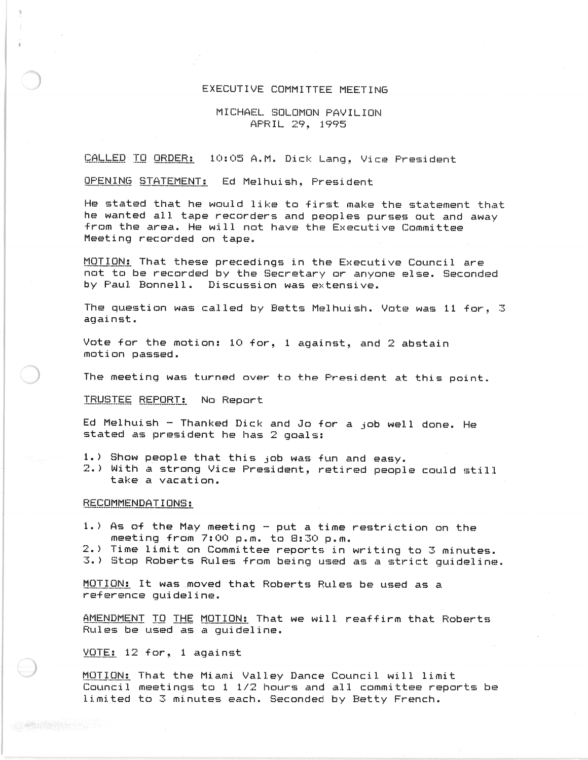## EXECUTIVE COMMITTEE MEETING

## MICHAEL SOLOMON PAVILION APRIL 29, 1995

# CALLED TO ORDER: 10:05 A.M. Dick Lang, Vice President

#### OFENING STATEMENT: Ed Melhuish, President

He stated that he would like to first make the statement that he wanted all tape recorders and peoples purses out and away from the area. He will not have the Executive Committee Meeting recorded on tape.

MOTION: That these precedings in the Executive Council are not to be recorded by the Secretary or anyone else. Seconded by Paul Bonnell. Discussion was extensive.

The question was called by Betts Melhuish. Vote was 11 for, 3 agai nst.

Vote for the motion: 10 for, 1 against, and 2 abstain motion passed.

The meeting was turned over to the President at this point.

TRUSTEE REPORT: No Report

Ed Melhuish - Thanked Dick and Jo for a job well done. He stated as president he has 2 goals:

- 1.) Show people that this job was fun and easy.
- 2.) With a strong Vice President, retired people could still take a vacation.

#### RECOMMENDATIONS:

- 1.) As of the May meeting put a time restriction on the meeting from 7:00 p.m. to 8:30 p.m.
- 2.) Time limit on Committee reports in writing to 3 minutes.
- 3.> stop Roberts Rules from being used as a strict guideline.

MOTION: It was moved that Roberts Rules be used as a reference guideline.

AMENDMENT TO THE MOTION: That we will reaffirm that Roberts Rules be used as a guideline.

### $VOTE: 12 for, 1 against$

MOTION: That the Miami Valley Dance Council will limit Council meetings to 1 1/2 hours and all committee reports be limited to 3 minutes each. Seconded by Betty French.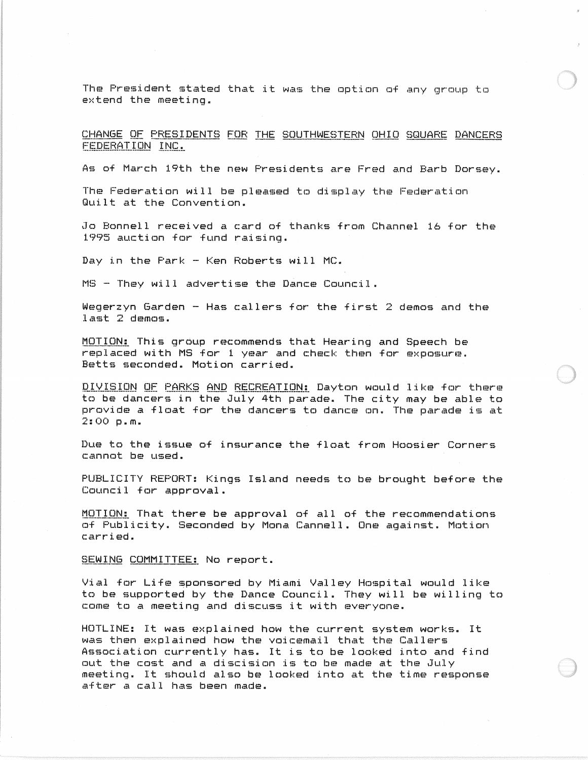The President stated that it was the option of any group to extend the meeting.

CHANGE OF PRESIDENTS FOR THE SOUTHWESTERN OHIO SQUARE DANCERS FEDERATION INC.

As of March 19th the new Presidents are Fred and Barb Dorsey.

The Federation will be pleased to display the Federation Quilt at the Convention.

Jo Bonnell received a card of thanks from Channel 16 for the 1995 auction for fund raising.

Day in the Park - Ken Roberts will MC.

MS - They will advertise the Dance Council.

Wegerzyn Garden - Has callers for the first 2 demos and the last 2 demos.

MOTION: This group recommends that Hearing and Speech be replaced with MS for 1 year and check then for exposure. Betts seconded. Motion carried.

DIVISION OF PARKS AND RECREATION: Dayton would like for there to be dancers in the July 4th parade. The city may be able to provide a float for the dancers to dance on. The parade is at 2:00 p.m.

Due to the issue of insurance the float from Hoosier Corners cannot be used.

PUBLICITY REPORT: Kings Island needs to be brought before the Council for approval.

MOTION: That there be approval of all of the recommendations of PubliCity. Seconded by Mona Cannell. One against. Motion carried.

SEWING COMMITTEE: No report.

Vial for Life sponsored by Miami Valley Hospital would like to be supported by the Dance Council. They will be willing to come to a meeting and discuss it with everyone.

HOTLINE: It was explained how the current system works. It was then explained how the voicemail that the Callers Association currently has. It is to be looked into and find out the cost and a discision is to be made at the July meeting. It should also be looked into at the time response after a call has been made.